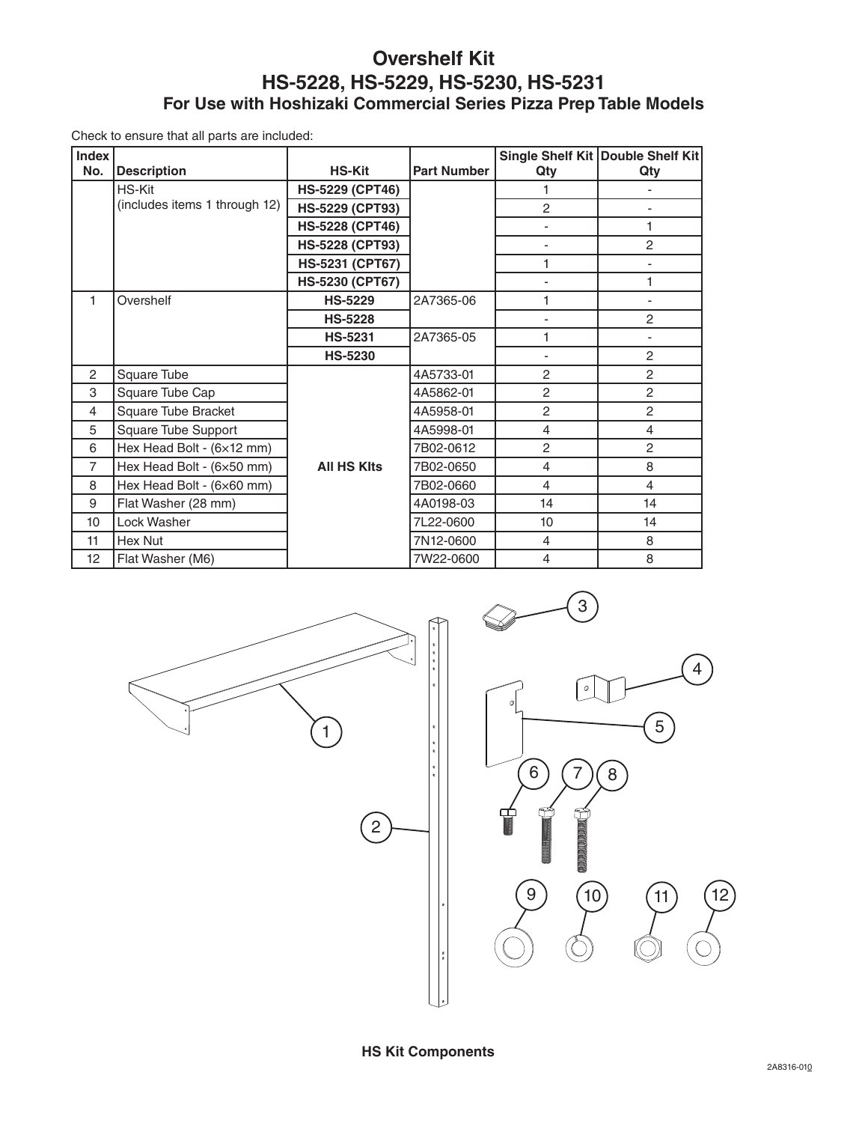## **Overshelf Kit HS-5228, HS-5229, HS-5230, HS-5231 For Use with Hoshizaki Commercial Series Pizza Prep Table Models**

Check to ensure that all parts are included:

| <b>Index</b>   |                               |                        |                    |                | Single Shelf Kit   Double Shelf Kit |
|----------------|-------------------------------|------------------------|--------------------|----------------|-------------------------------------|
| No.            | <b>Description</b>            | <b>HS-Kit</b>          | <b>Part Number</b> | Qty            | Qty                                 |
|                | <b>HS-Kit</b>                 | <b>HS-5229 (CPT46)</b> |                    | 1              |                                     |
|                | (includes items 1 through 12) | <b>HS-5229 (CPT93)</b> |                    | $\overline{2}$ |                                     |
|                |                               | <b>HS-5228 (CPT46)</b> |                    | ٠              | 1                                   |
|                |                               | <b>HS-5228 (CPT93)</b> |                    | ٠              | $\overline{c}$                      |
|                |                               | <b>HS-5231 (CPT67)</b> |                    | 1              | $\overline{a}$                      |
|                |                               | HS-5230 (CPT67)        |                    |                | 1                                   |
| 1              | Overshelf                     | <b>HS-5229</b>         | 2A7365-06          | 1              | ٠                                   |
|                |                               | <b>HS-5228</b>         |                    |                | $\overline{2}$                      |
|                |                               | <b>HS-5231</b>         | 2A7365-05          | 1              |                                     |
|                |                               | <b>HS-5230</b>         |                    |                | $\overline{c}$                      |
| 2              | Square Tube                   |                        | 4A5733-01          | 2              | $\overline{c}$                      |
| 3              | Square Tube Cap               |                        | 4A5862-01          | $\overline{c}$ | $\overline{2}$                      |
| $\overline{4}$ | Square Tube Bracket           |                        | 4A5958-01          | $\overline{2}$ | $\overline{c}$                      |
| 5              | Square Tube Support           |                        | 4A5998-01          | $\overline{4}$ | 4                                   |
| 6              | Hex Head Bolt - (6×12 mm)     |                        | 7B02-0612          | $\overline{c}$ | $\overline{c}$                      |
| $\overline{7}$ | Hex Head Bolt - (6×50 mm)     | <b>All HS KIts</b>     | 7B02-0650          | 4              | 8                                   |
| 8              | Hex Head Bolt - (6×60 mm)     |                        | 7B02-0660          | $\overline{4}$ | 4                                   |
| 9              | Flat Washer (28 mm)           |                        | 4A0198-03          | 14             | 14                                  |
| 10             | Lock Washer                   |                        | 7L22-0600          | 10             | 14                                  |
| 11             | Hex Nut                       |                        | 7N12-0600          | 4              | 8                                   |
| 12             | Flat Washer (M6)              |                        | 7W22-0600          | $\overline{4}$ | 8                                   |



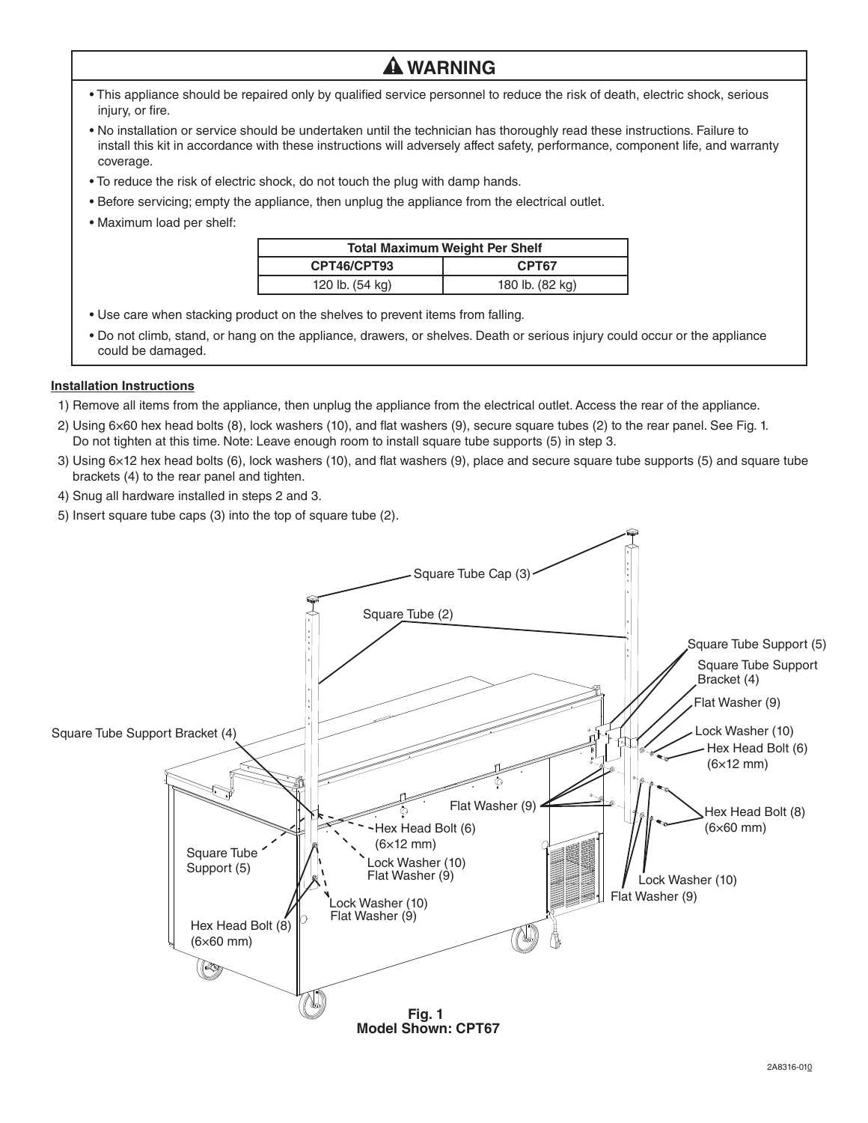• This appliance should be repaired only by qualified service personnel to reduce the risk of death, electric shock, serious injury, or fire.

 **WARNING**

- No installation or service should be undertaken until the technician has thoroughly read these instructions. Failure to install this kit in accordance with these instructions will adversely affect safety, performance, component life, and warranty coverage.
- To reduce the risk of electric shock, do not touch the plug with damp hands.
- Before servicing; empty the appliance, then unplug the appliance from the electrical outlet.
- Maximum load per shelf:

| <b>Total Maximum Weight Per Shelf</b> |                 |  |  |
|---------------------------------------|-----------------|--|--|
| CPT46/CPT93                           | CPT67           |  |  |
| 120 lb. (54 kg)                       | 180 lb. (82 kg) |  |  |

- Use care when stacking product on the shelves to prevent items from falling.
- Do not climb, stand, or hang on the appliance, drawers, or shelves. Death or serious injury could occur or the appliance could be damaged.

## **Installation Instructions**

- 1) Remove all items from the appliance, then unplug the appliance from the electrical outlet. Access the rear of the appliance.
- 2) Using 6×60 hex head bolts (8), lock washers (10), and flat washers (9), secure square tubes (2) to the rear panel. See Fig. 1. Do not tighten at this time. Note: Leave enough room to install square tube supports (5) in step 3.
- 3) Using 6×12 hex head bolts (6), lock washers (10), and flat washers (9), place and secure square tube supports (5) and square tube brackets (4) to the rear panel and tighten.
- 4) Snug all hardware installed in steps 2 and 3.
- 5) Insert square tube caps (3) into the top of square tube (2).

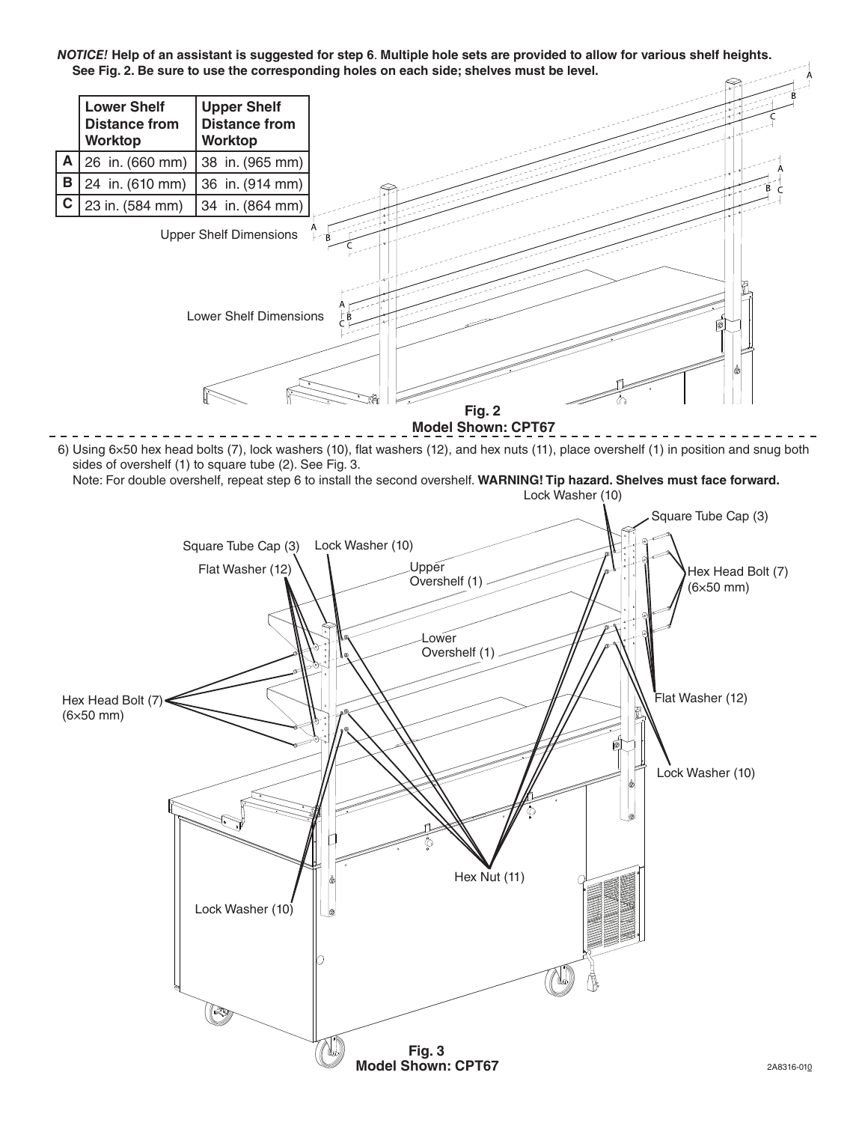